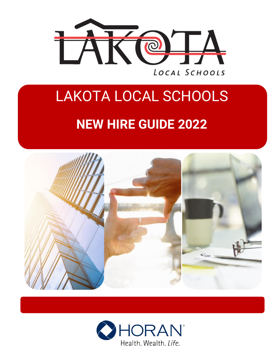

# LAKOTA LOCAL SCHOOLS **NEW HIRE GUIDE 2022**



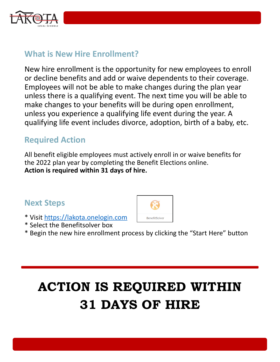

## **What is New Hire Enrollment?**

New hire enrollment is the opportunity for new employees to enroll or decline benefits and add or waive dependents to their coverage. Employees will not be able to make changes during the plan year unless there is a qualifying event. The next time you will be able to make changes to your benefits will be during open enrollment, unless you experience a qualifying life event during the year. A qualifying life event includes divorce, adoption, birth of a baby, etc.

## **Required Action**

All benefit eligible employees must actively enroll in or waive benefits for the 2022 plan year by completing the Benefit Elections online. **Action is required within 31 days of hire.**

### **Next Steps**

- \* Visit [https://lakota.onelogin.com](https://lakota.onelogin.com/)
- \* Select the Benefitsolver box
- \* Begin the new hire enrollment process by clicking the "Start Here" button

## **ACTION IS REQUIRED WITHIN 31 DAYS OF HIRE**

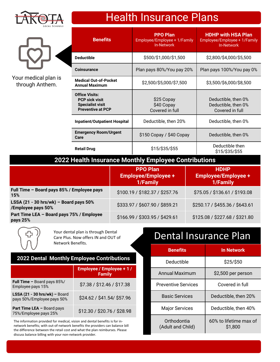

Your medical plan is through Anthem.

| <b>Benefits</b>                                                                                       | <b>PPO Plan</b><br>Employee/Employee + 1/Family<br><b>In-Network</b> | <b>HDHP with HSA Plan</b><br>Employee/Employee + 1/Family<br><b>In-Network</b> |
|-------------------------------------------------------------------------------------------------------|----------------------------------------------------------------------|--------------------------------------------------------------------------------|
| Deductible                                                                                            | \$500/\$1,000/\$1,500                                                | \$2,800/\$4,000/\$5,500                                                        |
| Coinsurance                                                                                           | Plan pays 80%/You pay 20%                                            | Plan pays 100%/You pay 0%                                                      |
| <b>Medical Out-of-Pocket</b><br>Annual Maximum                                                        | \$2,500/\$5,000/\$7,500                                              | \$3,500/\$6,000/\$8,500                                                        |
| <b>Office Visits:</b><br><b>PCP sick visit</b><br><b>Specialist visit</b><br><b>Preventive at PCP</b> | \$25 Copay<br>\$40 Copay<br>Covered in full                          | Deductible, then 0%<br>Deductible, then 0%<br>Covered in full                  |
| <b>Inpatient/Outpatient Hospital</b>                                                                  | Deductible, then 20%                                                 | Deductible, then 0%                                                            |
| <b>Emergency Room/Urgent</b><br>Care                                                                  | $$150$ Copay / $$40$ Copay                                           | Deductible, then 0%                                                            |
| Retail Drug                                                                                           | \$15/\$35/\$55                                                       | Deductible then<br>\$15/\$35/\$55                                              |

Health Insurance Plans

#### **2022 Health Insurance Monthly Employee Contributions**

|                                                                   | <b>PPO Plan</b><br><b>Employee/Employee +</b><br>1/Family | <b>HDHP</b><br><b>Employee/Employee +</b><br>1/Family |
|-------------------------------------------------------------------|-----------------------------------------------------------|-------------------------------------------------------|
| Full Time - Board pays 85% / Employee pays<br>15%                 | \$100.19 / \$182.37 / \$257.76                            | \$75.05 / \$136.61 / \$193.08                         |
| LSSA $(21 - 30$ hrs/wk $)$ - Board pays 50%<br>/Employee pays 50% | \$333.97 / \$607.90 / \$859.21                            | \$250.17 / \$455.36 / \$643.61                        |
| Part Time LEA - Board pays 75% / Employee<br>pays 25%             | \$166.99 / \$303.95 / \$429.61                            | \$125.08 / \$227.68 / \$321.80                        |

Care Plus. Now offers IN and OUT of Network Benefits.

#### **2022 Dental Monthly Employee Contributions**

|                                                             | <b>Employee / Employee + 1 /</b><br><b>Family</b> |
|-------------------------------------------------------------|---------------------------------------------------|
| <b>Full Time - Board pays 85%/</b><br>Employee pays 15%     | \$7.38 / \$12.46 / \$17.38                        |
| LSSA (21 - 30 hrs/wk) - Board<br>pays 50%/Employee pays 50% | \$24.62 / \$41.54 / \$57.96                       |
| <b>Part Time LEA - Board pays</b><br>75%/Employee pays 25%  | \$12.30 / \$20.76 / \$28.98                       |

The information provided for medical, vision and dental benefits is for innetwork benefits; with out-of-network benefits the providers can balance bill the difference between the retail cost and what the plan reimburses. Please discuss balance billing with your non-network provider.

## Your dental plan is through Dental<br>Care Plus. Now offers IN and OUT of **Dental Insurance Plan**

| <b>Benefits</b>                  | <b>In Network</b>                 |
|----------------------------------|-----------------------------------|
| Deductible                       | \$25/\$50                         |
| Annual Maximum                   | \$2,500 per person                |
| <b>Preventive Services</b>       | Covered in full                   |
| <b>Basic Services</b>            | Deductible, then 20%              |
| <b>Major Services</b>            | Deductible, then 40%              |
| Orthodontia<br>(Adult and Child) | 60% to lifetime max of<br>\$1,800 |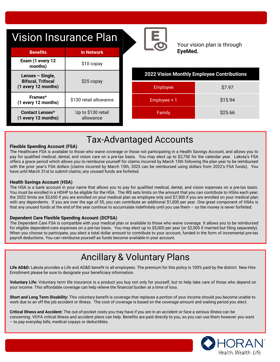|  |  | <b>Vision Insurance Plan</b> |  |
|--|--|------------------------------|--|
|--|--|------------------------------|--|



Your vision plan is through **EyeMed.**

| <b>Benefits</b>                                                     | <b>In Network</b>               |
|---------------------------------------------------------------------|---------------------------------|
| Exam (1 every 12<br>months)                                         | $$10$ copay                     |
| Lenses – Single,<br><b>Bifocal, Trifocal</b><br>(1 every 12 months) | $$25$ copay                     |
| Frames*<br>(1 every 12 months)                                      | \$130 retail allowance          |
| <b>Contact Lenses*</b><br>(1 every 12 months)                       | Up to \$130 retail<br>allowance |

| 2022 Vision Monthly Employee Contributions |  |
|--------------------------------------------|--|
|--------------------------------------------|--|

| <b>Employee</b> | \$7.97  |
|-----------------|---------|
| Employee + 1    | \$15.94 |
| Family          | \$25.66 |

## Tax-Advantaged Accounts

#### **Flexible Spending Account (FSA)**

The ricalificate For to dramaste to those this warre corerage or those not participating in a ricalified medical, dental, and vision care on a pre-tax basis. You may elect up to \$2,750 for the calendar year. Lakota's FSA The Healthcare FSA is available to those who waive coverage or those not participating in a Health Savings Account, and allows you to offers a grace period which allows you to reimburse yourself for claims incurred by March 15th following the plan year to be reimbursed with the prior year's FSA dollars (claims incurred by March 15th, 2023 can be reimbursed using dollars from 2022's FSA funds). You have until March 31st to submit claims; any unused funds are forfeited.

#### **Health Savings Account (HSA)**

The HSA is a bank account in your name that allows you to pay for qualified medical, dental, and vision expenses on a pre-tax basis. You must be enrolled in a HDHP to be eligible for the HSA. The IRS sets limits on the amount that you can contribute to HSAs each year; the 2022 limits are \$3,650 if you are enrolled on your medical plan as employee only and \$7,300 if you are enrolled on your medical plan with any dependents. If you are over the age of 55, you can contribute an additional \$1,000 per year. One great component of HSAs is that any unused funds at the end of the year continue to accumulate indefinitely until you use them – so the money is never forfeited.

#### **Dependent Care Flexible Spending Account (DCFSA)**

The Dependent Care FSA is compatible with your medical plan or available to those who waive coverage. It allows you to be reimbursed for eligible dependent-care expenses on a pre-tax basis. You may elect up to \$5,000 per year (or \$2,500 if married but filing separately). When you choose to participate, you elect a total dollar amount to contribute to your account, funded in the form of incremental pre-tax payroll deductions. You can reimburse yourself as funds become available in your account.

## Ancillary & Voluntary Plans

**Life AD&D:** Lakota provides a Life and AD&D benefit to all employees. The premium for this policy is 100% paid by the district. New Hire Enrollment please be sure to designate your beneficiary information.

**Voluntary Life:** Voluntary term life insurance is a product you buy not only for yourself, but to help take care of those who depend on your income. This affordable coverage can help relieve the financial burden at a time of loss.

**Short and Long Term Disability:** This voluntary benefit is coverage that replaces a portion of your income should you become unable to work due to an off the job accident or illness. The cost of coverage is based on the coverage amount and waiting period you elect.

**Critical Illness and Accident:** The out-of-pocket costs you may have if you are in an accident or face a serious illness can be concerning. VOYA critical illness and accident plans can help. Benefits are paid directly to you, so you can use them however you want – to pay everyday bills, medical copays or deductibles.